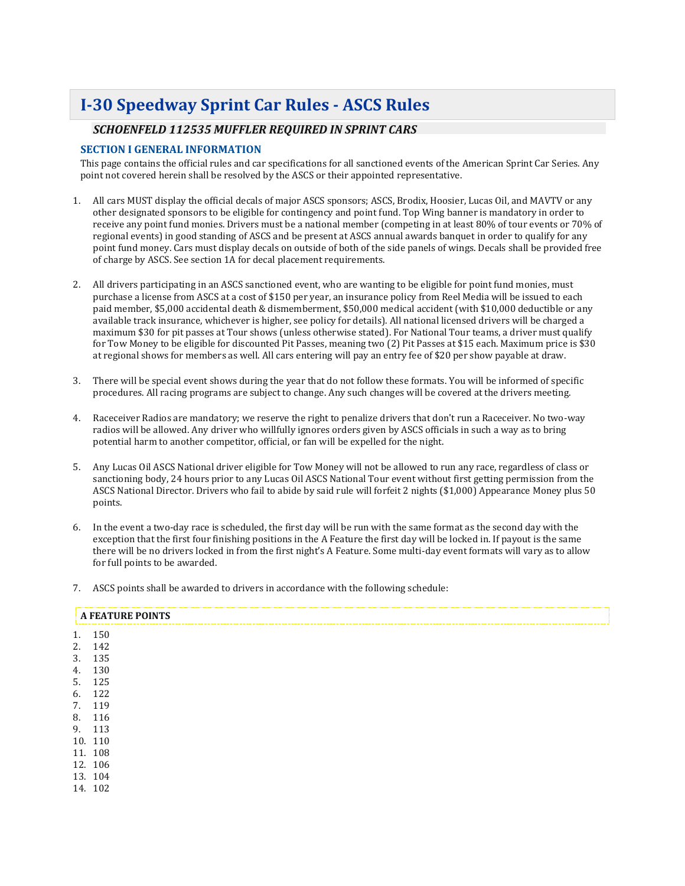# **I-30 Speedway Sprint Car Rules - ASCS Rules**

# *SCHOENFELD 112535 MUFFLER REQUIRED IN SPRINT CARS*

### **SECTION I GENERAL INFORMATION**

This page contains the official rules and car specifications for all sanctioned events of the American Sprint Car Series. Any point not covered herein shall be resolved by the ASCS or their appointed representative.

- 1. All cars MUST display the official decals of major ASCS sponsors; ASCS, Brodix, Hoosier, Lucas Oil, and MAVTV or any other designated sponsors to be eligible for contingency and point fund. Top Wing banner is mandatory in order to receive any point fund monies. Drivers must be a national member (competing in at least 80% of tour events or 70% of regional events) in good standing of ASCS and be present at ASCS annual awards banquet in order to qualify for any point fund money. Cars must display decals on outside of both of the side panels of wings. Decals shall be provided free of charge by ASCS. See section 1A for decal placement requirements.
- 2. All drivers participating in an ASCS sanctioned event, who are wanting to be eligible for point fund monies, must purchase a license from ASCS at a cost of \$150 per year, an insurance policy from Reel Media will be issued to each paid member, \$5,000 accidental death & dismemberment, \$50,000 medical accident (with \$10,000 deductible or any available track insurance, whichever is higher, see policy for details). All national licensed drivers will be charged a maximum \$30 for pit passes at Tour shows (unless otherwise stated). For National Tour teams, a driver must qualify for Tow Money to be eligible for discounted Pit Passes, meaning two (2) Pit Passes at \$15 each. Maximum price is \$30 at regional shows for members as well. All cars entering will pay an entry fee of \$20 per show payable at draw.
- 3. There will be special event shows during the year that do not follow these formats. You will be informed of specific procedures. All racing programs are subject to change. Any such changes will be covered at the drivers meeting.
- 4. Raceceiver Radios are mandatory; we reserve the right to penalize drivers that don't run a Raceceiver. No two-way radios will be allowed. Any driver who willfully ignores orders given by ASCS officials in such a way as to bring potential harm to another competitor, official, or fan will be expelled for the night.
- 5. Any Lucas Oil ASCS National driver eligible for Tow Money will not be allowed to run any race, regardless of class or sanctioning body, 24 hours prior to any Lucas Oil ASCS National Tour event without first getting permission from the ASCS National Director. Drivers who fail to abide by said rule will forfeit 2 nights (\$1,000) Appearance Money plus 50 points.
- 6. In the event a two-day race is scheduled, the first day will be run with the same format as the second day with the exception that the first four finishing positions in the A Feature the first day will be locked in. If payout is the same there will be no drivers locked in from the first night's A Feature. Some multi-day event formats will vary as to allow for full points to be awarded.
- 7. ASCS points shall be awarded to drivers in accordance with the following schedule:

|    |         | <b>A FEATURE POINTS</b> |
|----|---------|-------------------------|
| 1. | 150     |                         |
|    | 2. 142  |                         |
| 3. | 135     |                         |
| 4. | 130     |                         |
| 5. | 125     |                         |
| 6. | 122     |                         |
|    | 7. 119  |                         |
|    | 8. 116  |                         |
|    | 9. 113  |                         |
|    | 10. 110 |                         |
|    | 11. 108 |                         |
|    | 12. 106 |                         |
|    | 13. 104 |                         |
|    | 14. 102 |                         |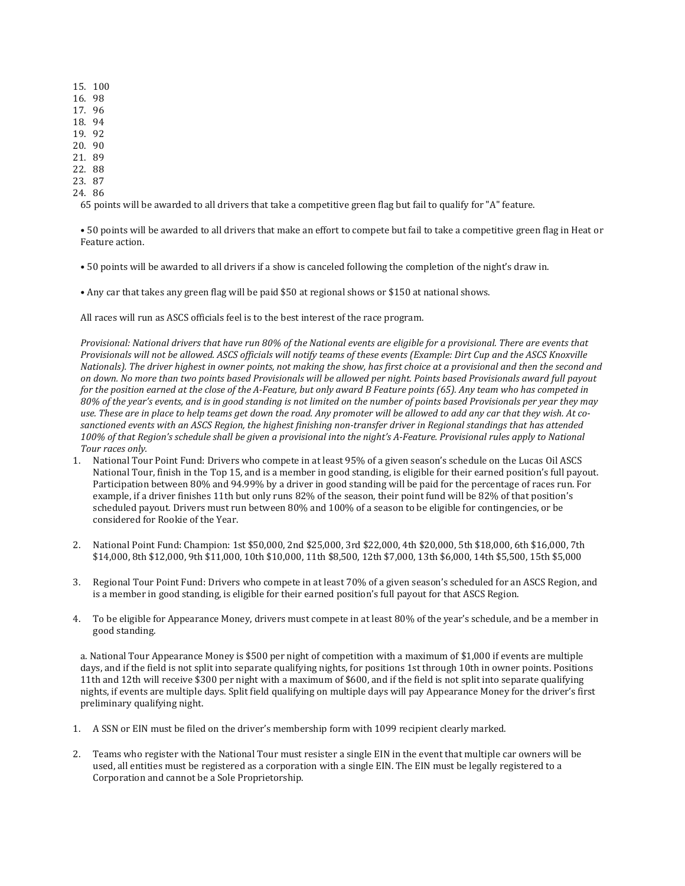- 15. 100 16. 98
- 17. 96
- 18. 94
- 19. 92
- 20. 90
- 21. 89
- 22. 88
- 23. 87
- 24. 86

65 points will be awarded to all drivers that take a competitive green flag but fail to qualify for "A" feature.

• 50 points will be awarded to all drivers that make an effort to compete but fail to take a competitive green flag in Heat or Feature action.

• 50 points will be awarded to all drivers if a show is canceled following the completion of the night's draw in.

• Any car that takes any green flag will be paid \$50 at regional shows or \$150 at national shows.

All races will run as ASCS officials feel is to the best interest of the race program.

Provisional: National drivers that have run 80% of the National events are eligible for a provisional. There are events that Provisionals will not be allowed. ASCS officials will notify teams of these events (Example: Dirt Cup and the ASCS Knoxville Nationals). The driver highest in owner points, not making the show, has first choice at a provisional and then the second and on down. No more than two points based Provisionals will be allowed per night. Points based Provisionals award full payout for the position earned at the close of the A-Feature, but only award B Feature points (65). Any team who has competed in 80% of the year's events, and is in good standing is not limited on the number of points based Provisionals per year they may use. These are in place to help teams get down the road. Any promoter will be allowed to add any car that they wish. At cosanctioned events with an ASCS Region, the highest finishing non-transfer driver in Regional standings that has attended 100% of that Region's schedule shall be given a provisional into the night's A-Feature. Provisional rules apply to National *Tour races only.*

- 1. National Tour Point Fund: Drivers who compete in at least 95% of a given season's schedule on the Lucas Oil ASCS National Tour, finish in the Top 15, and is a member in good standing, is eligible for their earned position's full payout. Participation between 80% and 94.99% by a driver in good standing will be paid for the percentage of races run. For example, if a driver finishes 11th but only runs 82% of the season, their point fund will be 82% of that position's scheduled payout. Drivers must run between 80% and 100% of a season to be eligible for contingencies, or be considered for Rookie of the Year.
- 2. National Point Fund: Champion: 1st \$50,000, 2nd \$25,000, 3rd \$22,000, 4th \$20,000, 5th \$18,000, 6th \$16,000, 7th \$14,000, 8th \$12,000, 9th \$11,000, 10th \$10,000, 11th \$8,500, 12th \$7,000, 13th \$6,000, 14th \$5,500, 15th \$5,000
- 3. Regional Tour Point Fund: Drivers who compete in at least 70% of a given season's scheduled for an ASCS Region, and is a member in good standing, is eligible for their earned position's full payout for that ASCS Region.
- 4. To be eligible for Appearance Money, drivers must compete in at least 80% of the year's schedule, and be a member in good standing.

a. National Tour Appearance Money is \$500 per night of competition with a maximum of \$1,000 if events are multiple days, and if the field is not split into separate qualifying nights, for positions 1st through 10th in owner points. Positions 11th and 12th will receive \$300 per night with a maximum of \$600, and if the field is not split into separate qualifying nights, if events are multiple days. Split field qualifying on multiple days will pay Appearance Money for the driver's first preliminary qualifying night.

- 1. A SSN or EIN must be filed on the driver's membership form with 1099 recipient clearly marked.
- 2. Teams who register with the National Tour must resister a single EIN in the event that multiple car owners will be used, all entities must be registered as a corporation with a single EIN. The EIN must be legally registered to a Corporation and cannot be a Sole Proprietorship.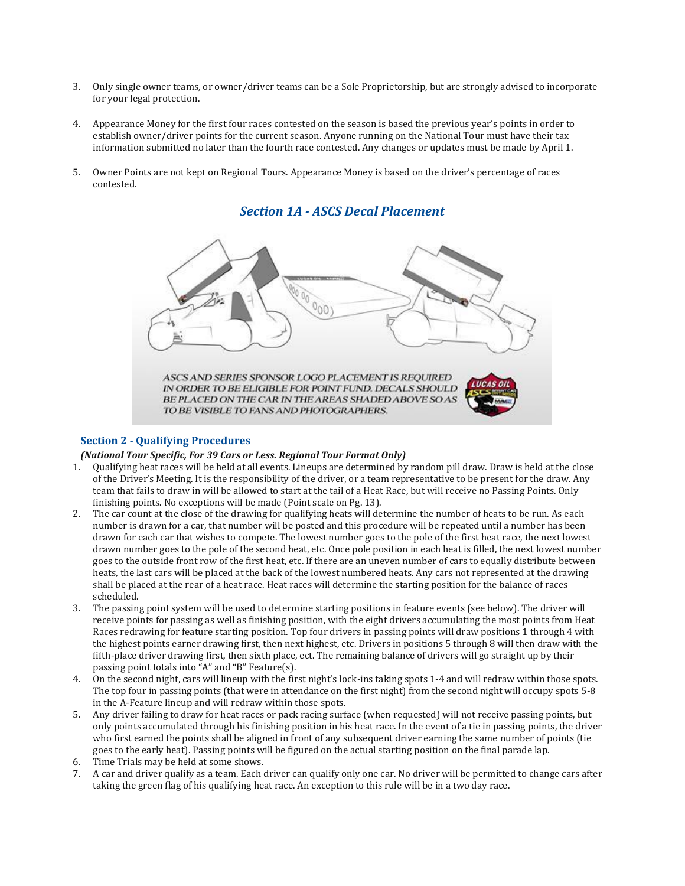- 3. Only single owner teams, or owner/driver teams can be a Sole Proprietorship, but are strongly advised to incorporate for your legal protection.
- 4. Appearance Money for the first four races contested on the season is based the previous year's points in order to establish owner/driver points for the current season. Anyone running on the National Tour must have their tax information submitted no later than the fourth race contested. Any changes or updates must be made by April 1.
- 5. Owner Points are not kept on Regional Tours. Appearance Money is based on the driver's percentage of races contested.



# *Section 1A - ASCS Decal Placement*

### **Section 2 - Qualifying Procedures**

#### *(National Tour Specific, For 39 Cars or Less. Regional Tour Format Only)*

- 1. Qualifying heat races will be held at all events. Lineups are determined by random pill draw. Draw is held at the close of the Driver's Meeting. It is the responsibility of the driver, or a team representative to be present for the draw. Any team that fails to draw in will be allowed to start at the tail of a Heat Race, but will receive no Passing Points. Only finishing points. No exceptions will be made (Point scale on Pg. 13).
- 2. The car count at the close of the drawing for qualifying heats will determine the number of heats to be run. As each number is drawn for a car, that number will be posted and this procedure will be repeated until a number has been drawn for each car that wishes to compete. The lowest number goes to the pole of the first heat race, the next lowest drawn number goes to the pole of the second heat, etc. Once pole position in each heat is filled, the next lowest number goes to the outside front row of the first heat, etc. If there are an uneven number of cars to equally distribute between heats, the last cars will be placed at the back of the lowest numbered heats. Any cars not represented at the drawing shall be placed at the rear of a heat race. Heat races will determine the starting position for the balance of races scheduled.
- 3. The passing point system will be used to determine starting positions in feature events (see below). The driver will receive points for passing as well as finishing position, with the eight drivers accumulating the most points from Heat Races redrawing for feature starting position. Top four drivers in passing points will draw positions 1 through 4 with the highest points earner drawing first, then next highest, etc. Drivers in positions 5 through 8 will then draw with the fifth-place driver drawing first, then sixth place, ect. The remaining balance of drivers will go straight up by their passing point totals into "A" and "B" Feature(s).
- 4. On the second night, cars will lineup with the first night's lock-ins taking spots 1-4 and will redraw within those spots. The top four in passing points (that were in attendance on the first night) from the second night will occupy spots 5-8 in the A-Feature lineup and will redraw within those spots.
- 5. Any driver failing to draw for heat races or pack racing surface (when requested) will not receive passing points, but only points accumulated through his finishing position in his heat race. In the event of a tie in passing points, the driver who first earned the points shall be aligned in front of any subsequent driver earning the same number of points (tie goes to the early heat). Passing points will be figured on the actual starting position on the final parade lap.
- 6. Time Trials may be held at some shows.
- 7. A car and driver qualify as a team. Each driver can qualify only one car. No driver will be permitted to change cars after taking the green flag of his qualifying heat race. An exception to this rule will be in a two day race.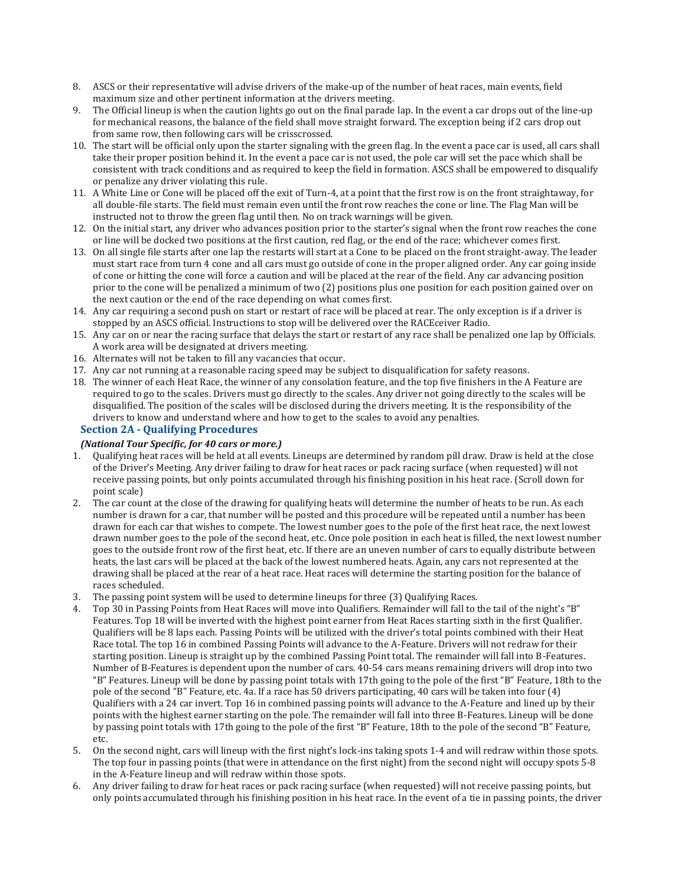- 8. ASCS or their representative will advise drivers of the make-up of the number of heat races, main events, field maximum size and other pertinent information at the drivers meeting.
- 9. The Official lineup is when the caution lights go out on the final parade lap. In the event a car drops out of the line-up for mechanical reasons, the balance of the field shall move straight forward. The exception being if 2 cars drop out from same row, then following cars will be crisscrossed.
- 10. The start will be official only upon the starter signaling with the green flag. In the event a pace car is used, all cars shall take their proper position behind it. In the event a pace car is not used, the pole car will set the pace which shall be consistent with track conditions and as required to keep the field in formation. ASCS shall be empowered to disqualify or penalize any driver violating this rule.
- 11. A White Line or Cone will be placed off the exit of Turn-4, at a point that the first row is on the front straightaway, for all double-file starts. The field must remain even until the front row reaches the cone or line. The Flag Man will be instructed not to throw the green flag until then. No on track warnings will be given.
- 12. On the initial start, any driver who advances position prior to the starter's signal when the front row reaches the cone or line will be docked two positions at the first caution, red flag, or the end of the race; whichever comes first.
- 13. On all single file starts after one lap the restarts will start at a Cone to be placed on the front straight-away. The leader must start race from turn 4 cone and all cars must go outside of cone in the proper aligned order. Any car going inside of cone or hitting the cone will force a caution and will be placed at the rear of the field. Any car advancing position prior to the cone will be penalized a minimum of two (2) positions plus one position for each position gained over on the next caution or the end of the race depending on what comes first.
- 14. Any car requiring a second push on start or restart of race will be placed at rear. The only exception is if a driver is stopped by an ASCS official. Instructions to stop will be delivered over the RACEceiver Radio.
- 15. Any car on or near the racing surface that delays the start or restart of any race shall be penalized one lap by Officials. A work area will be designated at drivers meeting.
- 16. Alternates will not be taken to fill any vacancies that occur.
- 17. Any car not running at a reasonable racing speed may be subject to disqualification for safety reasons.
- 18. The winner of each Heat Race, the winner of any consolation feature, and the top five finishers in the A Feature are required to go to the scales. Drivers must go directly to the scales. Any driver not going directly to the scales will be disqualified. The position of the scales will be disclosed during the drivers meeting. It is the responsibility of the drivers to know and understand where and how to get to the scales to avoid any penalties.

### **Section 2A - Qualifying Procedures**

### *(National Tour Specific, for 40 cars or more.)*

- 1. Qualifying heat races will be held at all events. Lineups are determined by random pill draw. Draw is held at the close of the Driver's Meeting. Any driver failing to draw for heat races or pack racing surface (when requested) will not receive passing points, but only points accumulated through his finishing position in his heat race. (Scroll down for point scale)
- 2. The car count at the close of the drawing for qualifying heats will determine the number of heats to be run. As each number is drawn for a car, that number will be posted and this procedure will be repeated until a number has been drawn for each car that wishes to compete. The lowest number goes to the pole of the first heat race, the next lowest drawn number goes to the pole of the second heat, etc. Once pole position in each heat is filled, the next lowest number goes to the outside front row of the first heat, etc. If there are an uneven number of cars to equally distribute between heats, the last cars will be placed at the back of the lowest numbered heats. Again, any cars not represented at the drawing shall be placed at the rear of a heat race. Heat races will determine the starting position for the balance of races scheduled.
- 3. The passing point system will be used to determine lineups for three (3) Qualifying Races.
- 4. Top 30 in Passing Points from Heat Races will move into Qualifiers. Remainder will fall to the tail of the night's "B" Features. Top 18 will be inverted with the highest point earner from Heat Races starting sixth in the first Qualifier. Qualifiers will be 8 laps each. Passing Points will be utilized with the driver's total points combined with their Heat Race total. The top 16 in combined Passing Points will advance to the A-Feature. Drivers will not redraw for their starting position. Lineup is straight up by the combined Passing Point total. The remainder will fall into B-Features. Number of B-Features is dependent upon the number of cars. 40-54 cars means remaining drivers will drop into two "B" Features. Lineup will be done by passing point totals with 17th going to the pole of the first "B" Feature, 18th to the pole of the second "B" Feature, etc. 4a. If a race has 50 drivers participating, 40 cars will be taken into four (4) Qualifiers with a 24 car invert. Top 16 in combined passing points will advance to the A-Feature and lined up by their points with the highest earner starting on the pole. The remainder will fall into three B-Features. Lineup will be done by passing point totals with 17th going to the pole of the first "B" Feature, 18th to the pole of the second "B" Feature, etc.
- 5. On the second night, cars will lineup with the first night's lock-ins taking spots 1-4 and will redraw within those spots. The top four in passing points (that were in attendance on the first night) from the second night will occupy spots 5-8 in the A-Feature lineup and will redraw within those spots.
- 6. Any driver failing to draw for heat races or pack racing surface (when requested) will not receive passing points, but only points accumulated through his finishing position in his heat race. In the event of a tie in passing points, the driver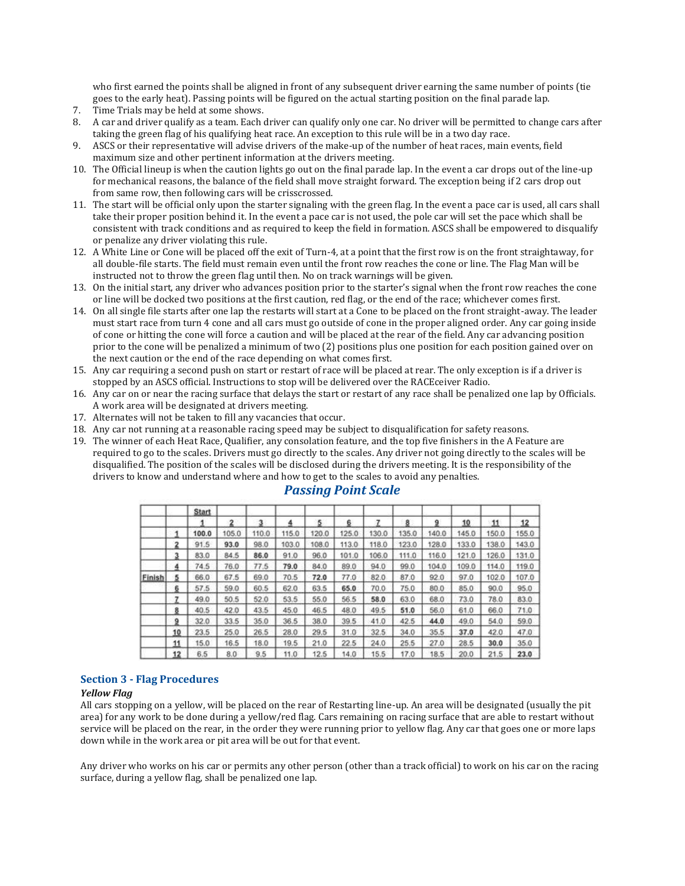who first earned the points shall be aligned in front of any subsequent driver earning the same number of points (tie goes to the early heat). Passing points will be figured on the actual starting position on the final parade lap.

- 7. Time Trials may be held at some shows.
- 8. A car and driver qualify as a team. Each driver can qualify only one car. No driver will be permitted to change cars after taking the green flag of his qualifying heat race. An exception to this rule will be in a two day race.
- 9. ASCS or their representative will advise drivers of the make-up of the number of heat races, main events, field maximum size and other pertinent information at the drivers meeting.
- 10. The Official lineup is when the caution lights go out on the final parade lap. In the event a car drops out of the line-up for mechanical reasons, the balance of the field shall move straight forward. The exception being if 2 cars drop out from same row, then following cars will be crisscrossed.
- 11. The start will be official only upon the starter signaling with the green flag. In the event a pace car is used, all cars shall take their proper position behind it. In the event a pace car is not used, the pole car will set the pace which shall be consistent with track conditions and as required to keep the field in formation. ASCS shall be empowered to disqualify or penalize any driver violating this rule.
- 12. A White Line or Cone will be placed off the exit of Turn-4, at a point that the first row is on the front straightaway, for all double-file starts. The field must remain even until the front row reaches the cone or line. The Flag Man will be instructed not to throw the green flag until then. No on track warnings will be given.
- 13. On the initial start, any driver who advances position prior to the starter's signal when the front row reaches the cone or line will be docked two positions at the first caution, red flag, or the end of the race; whichever comes first.
- 14. On all single file starts after one lap the restarts will start at a Cone to be placed on the front straight-away. The leader must start race from turn 4 cone and all cars must go outside of cone in the proper aligned order. Any car going inside of cone or hitting the cone will force a caution and will be placed at the rear of the field. Any car advancing position prior to the cone will be penalized a minimum of two (2) positions plus one position for each position gained over on the next caution or the end of the race depending on what comes first.
- 15. Any car requiring a second push on start or restart of race will be placed at rear. The only exception is if a driver is stopped by an ASCS official. Instructions to stop will be delivered over the RACEceiver Radio.
- 16. Any car on or near the racing surface that delays the start or restart of any race shall be penalized one lap by Officials. A work area will be designated at drivers meeting.
- 17. Alternates will not be taken to fill any vacancies that occur.
- 18. Any car not running at a reasonable racing speed may be subject to disqualification for safety reasons.
- 19. The winner of each Heat Race, Qualifier, any consolation feature, and the top five finishers in the A Feature are required to go to the scales. Drivers must go directly to the scales. Any driver not going directly to the scales will be disqualified. The position of the scales will be disclosed during the drivers meeting. It is the responsibility of the drivers to know and understand where and how to get to the scales to avoid any penalties.

|        |                         | <b>Start</b> |                         |       |       |       |       |       |       |       |       |       |       |
|--------|-------------------------|--------------|-------------------------|-------|-------|-------|-------|-------|-------|-------|-------|-------|-------|
|        |                         |              | $\overline{\mathbf{z}}$ | з     |       | 5     | 6     |       | 8     | a     | 10    | 11    | 12    |
|        | 1                       | 100.0        | 105.0                   | 110.0 | 115.0 | 120.0 | 125.0 | 130.0 | 135.0 | 140.0 | 145.0 | 150.0 | 155.0 |
|        | $\overline{\mathbf{2}}$ | 91.5         | 93.0                    | 98.0  | 103.0 | 108.0 | 113.0 | 118.0 | 123.0 | 128.0 | 133.0 | 138.0 | 143.0 |
|        | 3                       | 83.0         | 84.5                    | 86.0  | 91.0  | 96.0  | 101.0 | 106.0 | 111.0 | 116.0 | 121.0 | 126.0 | 131.0 |
|        | 4                       | 74.5         | 76.0                    | 77.5  | 79.0  | 84.0  | 89.0  | 94.0  | 99.0  | 104.0 | 109.0 | 114.0 | 119.0 |
| Finish | 5                       | 66.0         | 67.5                    | 69.0  | 70.5  | 72.0  | 77.0  | 82.0  | 87.0  | 92.0  | 97.0  | 102.0 | 107.0 |
|        | 6                       | 57.5         | 59.0                    | 60.5  | 62.0  | 63.5  | 65.0  | 70.0  | 75.0  | 80.0  | 85.0  | 90.0  | 95.0  |
|        | 7                       | 49.0         | 50.5                    | 52.0  | 53.5  | 55.0  | 56.5  | 58.0  | 63.0  | 68.0  | 73.0  | 78.0  | 83.0  |
|        | 8                       | 40.5         | 42.0                    | 43.5  | 45.0  | 46.5  | 48.0  | 49.5  | 51.0  | 56.0  | 61.0  | 66.0  | 71.0  |
|        | 9                       | 32.0         | 33.5                    | 35.0  | 36.5  | 38.0  | 39.5  | 41.0  | 42.5  | 44.0  | 49.0  | 54.0  | 59.0  |
|        | 10                      | 23.5         | 25.0                    | 26.5  | 28.0  | 29.5  | 31.0  | 32.5  | 34.0  | 35.5  | 37.0  | 42.0  | 47.0  |
|        | 11                      | 15.0         | 16.5                    | 18.0  | 19.5  | 21.0  | 22.5  | 24.0  | 25.5  | 27.0  | 28.5  | 30.0  | 35.0  |
|        | 12                      | 6.5          | 8.0                     | 9.5   | 11.0  | 12.5  | 14.0  | 15.5  | 17.0  | 18.5  | 20.0  | 21.5  | 23.0  |

### *Passing Point Scale*

#### **Section 3 - Flag Procedures**

#### *Yellow Flag*

All cars stopping on a yellow, will be placed on the rear of Restarting line-up. An area will be designated (usually the pit area) for any work to be done during a yellow/red flag. Cars remaining on racing surface that are able to restart without service will be placed on the rear, in the order they were running prior to yellow flag. Any car that goes one or more laps down while in the work area or pit area will be out for that event.

Any driver who works on his car or permits any other person (other than a track official) to work on his car on the racing surface, during a yellow flag, shall be penalized one lap.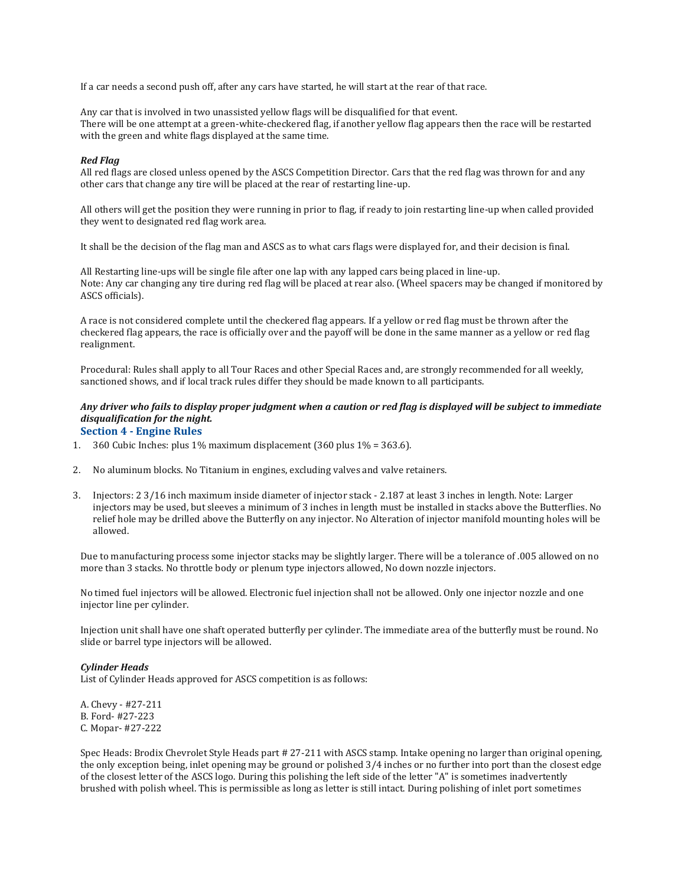If a car needs a second push off, after any cars have started, he will start at the rear of that race.

Any car that is involved in two unassisted yellow flags will be disqualified for that event. There will be one attempt at a green-white-checkered flag, if another yellow flag appears then the race will be restarted with the green and white flags displayed at the same time.

#### *Red Flag*

All red flags are closed unless opened by the ASCS Competition Director. Cars that the red flag was thrown for and any other cars that change any tire will be placed at the rear of restarting line-up.

All others will get the position they were running in prior to flag, if ready to join restarting line-up when called provided they went to designated red flag work area.

It shall be the decision of the flag man and ASCS as to what cars flags were displayed for, and their decision is final.

All Restarting line-ups will be single file after one lap with any lapped cars being placed in line-up. Note: Any car changing any tire during red flag will be placed at rear also. (Wheel spacers may be changed if monitored by ASCS officials).

A race is not considered complete until the checkered flag appears. If a yellow or red flag must be thrown after the checkered flag appears, the race is officially over and the payoff will be done in the same manner as a yellow or red flag realignment.

Procedural: Rules shall apply to all Tour Races and other Special Races and, are strongly recommended for all weekly, sanctioned shows, and if local track rules differ they should be made known to all participants.

#### Any driver who fails to display proper judgment when a caution or red flag is displayed will be subject to immediate *disqualification for the night.* **Section 4 - Engine Rules**

- 1. 360 Cubic Inches: plus  $1\%$  maximum displacement (360 plus  $1\%$  = 363.6).
- 2. No aluminum blocks. No Titanium in engines, excluding valves and valve retainers.
- 3. Injectors: 2 3/16 inch maximum inside diameter of injector stack 2.187 at least 3 inches in length. Note: Larger injectors may be used, but sleeves a minimum of 3 inches in length must be installed in stacks above the Butterflies. No relief hole may be drilled above the Butterfly on any injector. No Alteration of injector manifold mounting holes will be allowed.

Due to manufacturing process some injector stacks may be slightly larger. There will be a tolerance of .005 allowed on no more than 3 stacks. No throttle body or plenum type injectors allowed, No down nozzle injectors.

No timed fuel injectors will be allowed. Electronic fuel injection shall not be allowed. Only one injector nozzle and one injector line per cylinder.

Injection unit shall have one shaft operated butterfly per cylinder. The immediate area of the butterfly must be round. No slide or barrel type injectors will be allowed.

#### *Cylinder Heads*

List of Cylinder Heads approved for ASCS competition is as follows:

A. Chevy - #27-211 B. Ford- #27-223 C. Mopar- #27-222

Spec Heads: Brodix Chevrolet Style Heads part # 27-211 with ASCS stamp. Intake opening no larger than original opening, the only exception being, inlet opening may be ground or polished 3/4 inches or no further into port than the closest edge of the closest letter of the ASCS logo. During this polishing the left side of the letter "A" is sometimes inadvertently brushed with polish wheel. This is permissible as long as letter is still intact. During polishing of inlet port sometimes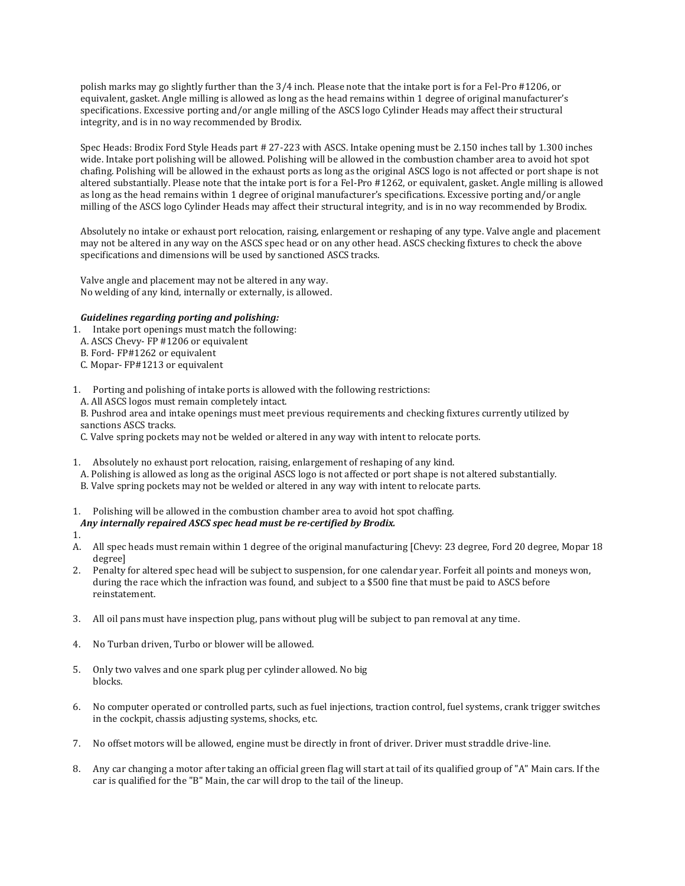polish marks may go slightly further than the 3/4 inch. Please note that the intake port is for a Fel-Pro #1206, or equivalent, gasket. Angle milling is allowed as long as the head remains within 1 degree of original manufacturer's specifications. Excessive porting and/or angle milling of the ASCS logo Cylinder Heads may affect their structural integrity, and is in no way recommended by Brodix.

Spec Heads: Brodix Ford Style Heads part # 27-223 with ASCS. Intake opening must be 2.150 inches tall by 1.300 inches wide. Intake port polishing will be allowed. Polishing will be allowed in the combustion chamber area to avoid hot spot chafing. Polishing will be allowed in the exhaust ports as long as the original ASCS logo is not affected or port shape is not altered substantially. Please note that the intake port is for a Fel-Pro #1262, or equivalent, gasket. Angle milling is allowed as long as the head remains within 1 degree of original manufacturer's specifications. Excessive porting and/or angle milling of the ASCS logo Cylinder Heads may affect their structural integrity, and is in no way recommended by Brodix.

Absolutely no intake or exhaust port relocation, raising, enlargement or reshaping of any type. Valve angle and placement may not be altered in any way on the ASCS spec head or on any other head. ASCS checking fixtures to check the above specifications and dimensions will be used by sanctioned ASCS tracks.

Valve angle and placement may not be altered in any way. No welding of any kind, internally or externally, is allowed.

#### *Guidelines regarding porting and polishing:*

- 1. Intake port openings must match the following:
- A. ASCS Chevy- FP #1206 or equivalent
- B. Ford- FP#1262 or equivalent
- C. Mopar- FP#1213 or equivalent
- 1. Porting and polishing of intake ports is allowed with the following restrictions:
- A. All ASCS logos must remain completely intact.

B. Pushrod area and intake openings must meet previous requirements and checking fixtures currently utilized by sanctions ASCS tracks.

C. Valve spring pockets may not be welded or altered in any way with intent to relocate ports.

- 1. Absolutely no exhaust port relocation, raising, enlargement of reshaping of any kind.
- A. Polishing is allowed as long as the original ASCS logo is not affected or port shape is not altered substantially.
- B. Valve spring pockets may not be welded or altered in any way with intent to relocate parts.
- 1. Polishing will be allowed in the combustion chamber area to avoid hot spot chaffing.

### *Any internally repaired ASCS spec head must be re-certified by Brodix.*

1.

A. All spec heads must remain within 1 degree of the original manufacturing [Chevy: 23 degree, Ford 20 degree, Mopar 18 degree]

- 2. Penalty for altered spec head will be subject to suspension, for one calendar year. Forfeit all points and moneys won, during the race which the infraction was found, and subject to a \$500 fine that must be paid to ASCS before reinstatement.
- 3. All oil pans must have inspection plug, pans without plug will be subject to pan removal at any time.
- 4. No Turban driven, Turbo or blower will be allowed.
- 5. Only two valves and one spark plug per cylinder allowed. No big blocks.
- 6. No computer operated or controlled parts, such as fuel injections, traction control, fuel systems, crank trigger switches in the cockpit, chassis adjusting systems, shocks, etc.
- 7. No offset motors will be allowed, engine must be directly in front of driver. Driver must straddle drive-line.
- 8. Any car changing a motor after taking an official green flag will start at tail of its qualified group of "A" Main cars. If the car is qualified for the "B" Main, the car will drop to the tail of the lineup.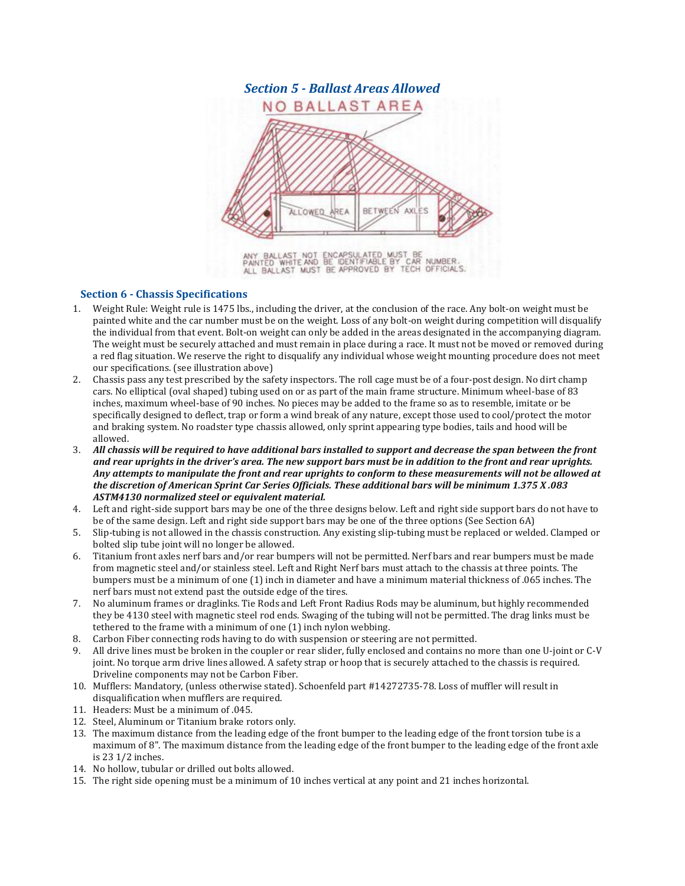

ANY BALLAST NOT ENCAPSULATED MUST BE<br>PAINTED WHITEAND BE IDENTIFIABLE BY CAR NUMBER.<br>ALL BALLAST MUST BE APPROVED BY TECH OFFICIALS.

### **Section 6 - Chassis Specifications**

- 1. Weight Rule: Weight rule is 1475 lbs., including the driver, at the conclusion of the race. Any bolt-on weight must be painted white and the car number must be on the weight. Loss of any bolt-on weight during competition will disqualify the individual from that event. Bolt-on weight can only be added in the areas designated in the accompanying diagram. The weight must be securely attached and must remain in place during a race. It must not be moved or removed during a red flag situation. We reserve the right to disqualify any individual whose weight mounting procedure does not meet our specifications. (see illustration above)
- 2. Chassis pass any test prescribed by the safety inspectors. The roll cage must be of a four-post design. No dirt champ cars. No elliptical (oval shaped) tubing used on or as part of the main frame structure. Minimum wheel-base of 83 inches, maximum wheel-base of 90 inches. No pieces may be added to the frame so as to resemble, imitate or be specifically designed to deflect, trap or form a wind break of any nature, except those used to cool/protect the motor and braking system. No roadster type chassis allowed, only sprint appearing type bodies, tails and hood will be allowed.
- 3. All chassis will be required to have additional bars installed to support and decrease the span between the front and rear uprights in the driver's area. The new support bars must be in addition to the front and rear uprights. Any attempts to manipulate the front and rear uprights to conform to these measurements will not be allowed at the discretion of American Sprint Car Series Officials. These additional bars will be minimum 1.375 X.083 *ASTM4130 normalized steel or equivalent material.*
- 4. Left and right-side support bars may be one of the three designs below. Left and right side support bars do not have to be of the same design. Left and right side support bars may be one of the three options (See Section 6A)
- 5. Slip-tubing is not allowed in the chassis construction. Any existing slip-tubing must be replaced or welded. Clamped or bolted slip tube joint will no longer be allowed.
- 6. Titanium front axles nerf bars and/or rear bumpers will not be permitted. Nerf bars and rear bumpers must be made from magnetic steel and/or stainless steel. Left and Right Nerf bars must attach to the chassis at three points. The bumpers must be a minimum of one (1) inch in diameter and have a minimum material thickness of .065 inches. The nerf bars must not extend past the outside edge of the tires.
- 7. No aluminum frames or draglinks. Tie Rods and Left Front Radius Rods may be aluminum, but highly recommended they be 4130 steel with magnetic steel rod ends. Swaging of the tubing will not be permitted. The drag links must be tethered to the frame with a minimum of one (1) inch nylon webbing.
- 8. Carbon Fiber connecting rods having to do with suspension or steering are not permitted.
- 9. All drive lines must be broken in the coupler or rear slider, fully enclosed and contains no more than one U-joint or C-V joint. No torque arm drive lines allowed. A safety strap or hoop that is securely attached to the chassis is required. Driveline components may not be Carbon Fiber.
- 10. Mufflers: Mandatory, (unless otherwise stated). Schoenfeld part #14272735-78. Loss of muffler will result in disqualification when mufflers are required.
- 11. Headers: Must be a minimum of .045.
- 12. Steel, Aluminum or Titanium brake rotors only.
- 13. The maximum distance from the leading edge of the front bumper to the leading edge of the front torsion tube is a maximum of 8". The maximum distance from the leading edge of the front bumper to the leading edge of the front axle is 23 1/2 inches.
- 14. No hollow, tubular or drilled out bolts allowed.
- 15. The right side opening must be a minimum of 10 inches vertical at any point and 21 inches horizontal.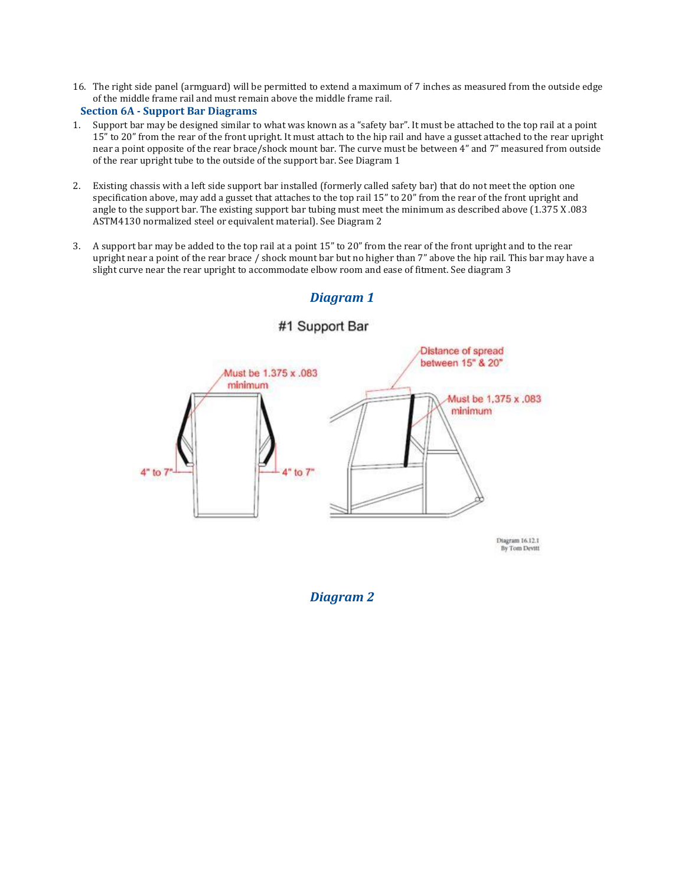16. The right side panel (armguard) will be permitted to extend a maximum of 7 inches as measured from the outside edge of the middle frame rail and must remain above the middle frame rail.

### **Section 6A - Support Bar Diagrams**

- 1. Support bar may be designed similar to what was known as a "safety bar". It must be attached to the top rail at a point 15" to 20" from the rear of the front upright. It must attach to the hip rail and have a gusset attached to the rear upright near a point opposite of the rear brace/shock mount bar. The curve must be between 4" and 7" measured from outside of the rear upright tube to the outside of the support bar. See Diagram 1
- 2. Existing chassis with a left side support bar installed (formerly called safety bar) that do not meet the option one specification above, may add a gusset that attaches to the top rail 15" to 20" from the rear of the front upright and angle to the support bar. The existing support bar tubing must meet the minimum as described above (1.375 X .083 ASTM4130 normalized steel or equivalent material). See Diagram 2
- 3. A support bar may be added to the top rail at a point 15" to 20" from the rear of the front upright and to the rear upright near a point of the rear brace / shock mount bar but no higher than 7" above the hip rail. This bar may have a slight curve near the rear upright to accommodate elbow room and ease of fitment. See diagram 3



# *Diagram 1*

### *Diagram 2*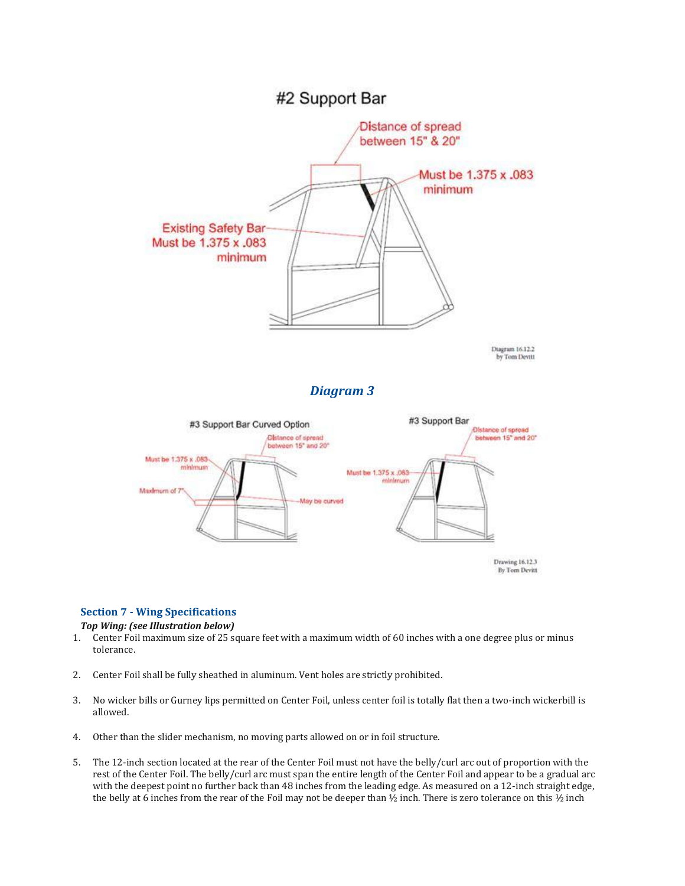

by Tom Devitt

# *Diagram 3*



### **Section 7 - Wing Specifications**

#### *Top Wing: (see Illustration below)*

- 1. Center Foil maximum size of 25 square feet with a maximum width of 60 inches with a one degree plus or minus tolerance.
- 2. Center Foil shall be fully sheathed in aluminum. Vent holes are strictly prohibited.
- 3. No wicker bills or Gurney lips permitted on Center Foil, unless center foil is totally flat then a two-inch wickerbill is allowed.
- 4. Other than the slider mechanism, no moving parts allowed on or in foil structure.
- 5. The 12-inch section located at the rear of the Center Foil must not have the belly/curl arc out of proportion with the rest of the Center Foil. The belly/curl arc must span the entire length of the Center Foil and appear to be a gradual arc with the deepest point no further back than 48 inches from the leading edge. As measured on a 12-inch straight edge, the belly at 6 inches from the rear of the Foil may not be deeper than  $\frac{1}{2}$  inch. There is zero tolerance on this  $\frac{1}{2}$  inch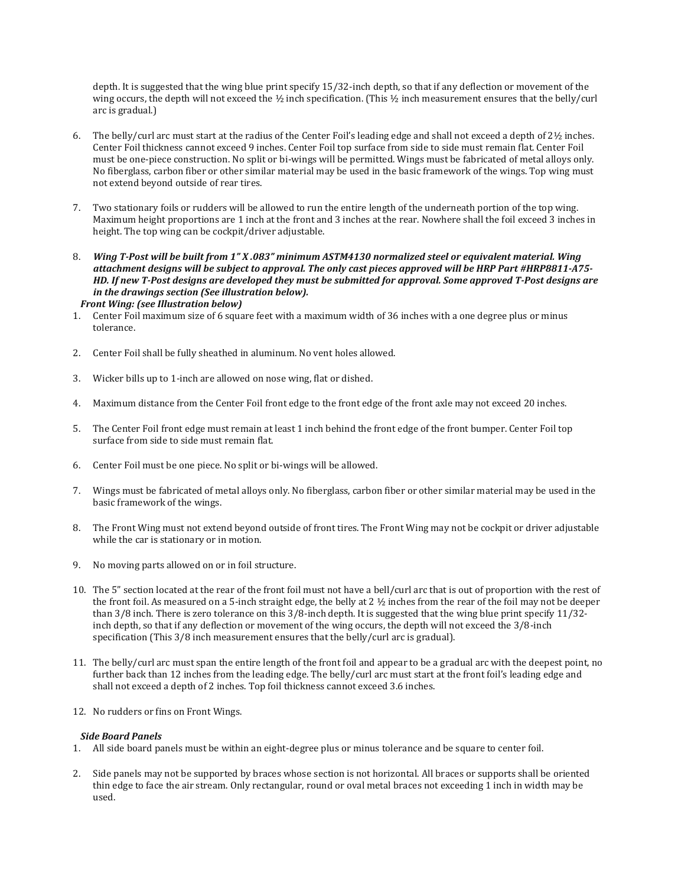depth. It is suggested that the wing blue print specify 15/32-inch depth, so that if any deflection or movement of the wing occurs, the depth will not exceed the ½ inch specification. (This ½ inch measurement ensures that the belly/curl arc is gradual.)

- 6. The belly/curl arc must start at the radius of the Center Foil's leading edge and shall not exceed a depth of  $2\frac{1}{2}$  inches. Center Foil thickness cannot exceed 9 inches. Center Foil top surface from side to side must remain flat. Center Foil must be one-piece construction. No split or bi-wings will be permitted. Wings must be fabricated of metal alloys only. No fiberglass, carbon fiber or other similar material may be used in the basic framework of the wings. Top wing must not extend beyond outside of rear tires.
- 7. Two stationary foils or rudders will be allowed to run the entire length of the underneath portion of the top wing. Maximum height proportions are 1 inch at the front and 3 inches at the rear. Nowhere shall the foil exceed 3 inches in height. The top wing can be cockpit/driver adjustable.
- 8. Wing T-Post will be built from 1" X .083" minimum ASTM4130 normalized steel or equivalent material. Wing attachment designs will be subject to approval. The only cast pieces approved will be HRP Part #HRP8811-A75-HD. If new T-Post designs are developed they must be submitted for approval. Some approved T-Post designs are *in the drawings section (See illustration below).*
- *Front Wing: (see Illustration below)*
- 1. Center Foil maximum size of 6 square feet with a maximum width of 36 inches with a one degree plus or minus tolerance.
- 2. Center Foil shall be fully sheathed in aluminum. No vent holes allowed.
- 3. Wicker bills up to 1-inch are allowed on nose wing, flat or dished.
- 4. Maximum distance from the Center Foil front edge to the front edge of the front axle may not exceed 20 inches.
- 5. The Center Foil front edge must remain at least 1 inch behind the front edge of the front bumper. Center Foil top surface from side to side must remain flat.
- 6. Center Foil must be one piece. No split or bi-wings will be allowed.
- 7. Wings must be fabricated of metal alloys only. No fiberglass, carbon fiber or other similar material may be used in the basic framework of the wings.
- 8. The Front Wing must not extend beyond outside of front tires. The Front Wing may not be cockpit or driver adjustable while the car is stationary or in motion.
- 9. No moving parts allowed on or in foil structure.
- 10. The 5" section located at the rear of the front foil must not have a bell/curl arc that is out of proportion with the rest of the front foil. As measured on a 5-inch straight edge, the belly at  $2 \frac{1}{2}$  inches from the rear of the foil may not be deeper than 3/8 inch. There is zero tolerance on this 3/8-inch depth. It is suggested that the wing blue print specify 11/32 inch depth, so that if any deflection or movement of the wing occurs, the depth will not exceed the 3/8-inch specification (This 3/8 inch measurement ensures that the belly/curl arc is gradual).
- 11. The belly/curl arc must span the entire length of the front foil and appear to be a gradual arc with the deepest point, no further back than 12 inches from the leading edge. The belly/curl arc must start at the front foil's leading edge and shall not exceed a depth of 2 inches. Top foil thickness cannot exceed 3.6 inches.
- 12. No rudders or fins on Front Wings.

#### *Side Board Panels*

- 1. All side board panels must be within an eight-degree plus or minus tolerance and be square to center foil.
- 2. Side panels may not be supported by braces whose section is not horizontal. All braces or supports shall be oriented thin edge to face the air stream. Only rectangular, round or oval metal braces not exceeding 1 inch in width may be used.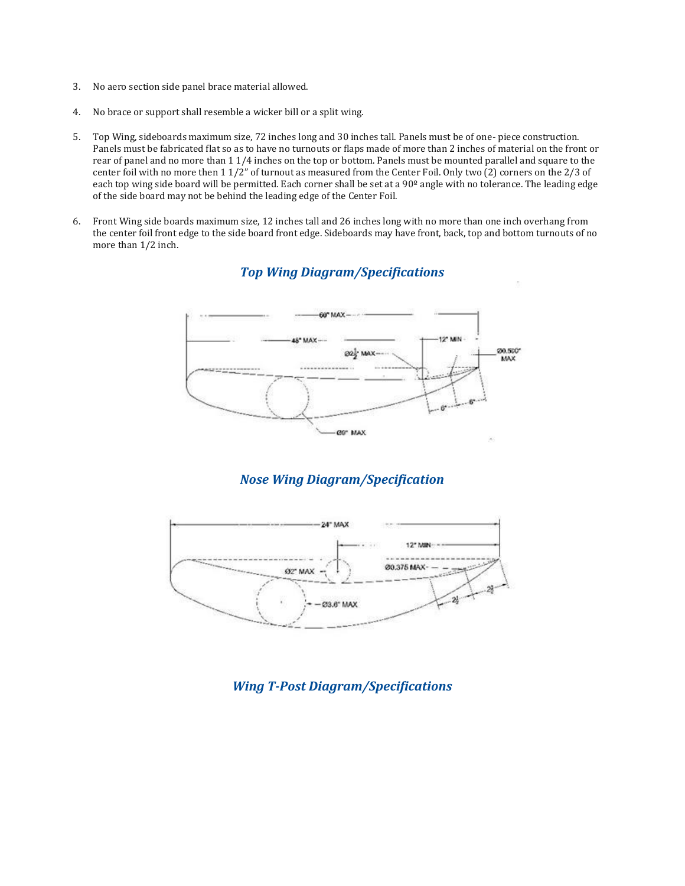- 3. No aero section side panel brace material allowed.
- 4. No brace or support shall resemble a wicker bill or a split wing.
- 5. Top Wing, sideboards maximum size, 72 inches long and 30 inches tall. Panels must be of one- piece construction. Panels must be fabricated flat so as to have no turnouts or flaps made of more than 2 inches of material on the front or rear of panel and no more than 1 1/4 inches on the top or bottom. Panels must be mounted parallel and square to the center foil with no more then 1 1/2" of turnout as measured from the Center Foil. Only two (2) corners on the 2/3 of each top wing side board will be permitted. Each corner shall be set at a 90<sup>°</sup> angle with no tolerance. The leading edge of the side board may not be behind the leading edge of the Center Foil.
- 6. Front Wing side boards maximum size, 12 inches tall and 26 inches long with no more than one inch overhang from the center foil front edge to the side board front edge. Sideboards may have front, back, top and bottom turnouts of no more than 1/2 inch.



# *Top Wing Diagram/Specifications*

# *Nose Wing Diagram/Specification*



*Wing T-Post Diagram/Specifications*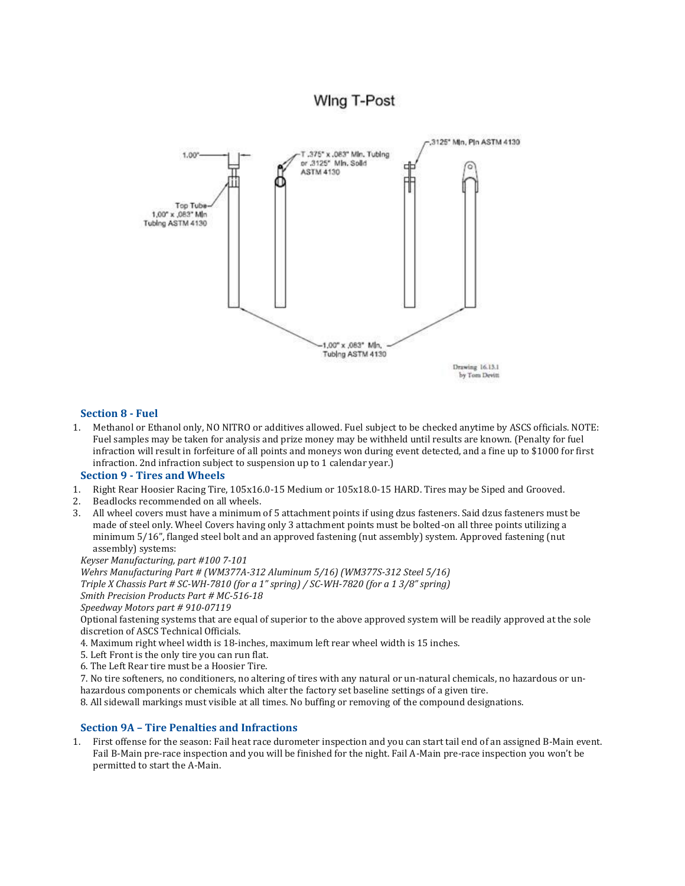# **Wing T-Post**



### **Section 8 - Fuel**

1. Methanol or Ethanol only, NO NITRO or additives allowed. Fuel subject to be checked anytime by ASCS officials. NOTE: Fuel samples may be taken for analysis and prize money may be withheld until results are known. (Penalty for fuel infraction will result in forfeiture of all points and moneys won during event detected, and a fine up to \$1000 for first infraction. 2nd infraction subject to suspension up to 1 calendar year.)

#### **Section 9 - Tires and Wheels**

- 1. Right Rear Hoosier Racing Tire, 105x16.0-15 Medium or 105x18.0-15 HARD. Tires may be Siped and Grooved.
- 2. Beadlocks recommended on all wheels.
- 3. All wheel covers must have a minimum of 5 attachment points if using dzus fasteners. Said dzus fasteners must be made of steel only. Wheel Covers having only 3 attachment points must be bolted-on all three points utilizing a minimum 5/16", flanged steel bolt and an approved fastening (nut assembly) system. Approved fastening (nut assembly) systems:

*Keyser Manufacturing, part #100 7-101*

*Wehrs Manufacturing Part # (WM377A-312 Aluminum 5/16) (WM377S-312 Steel 5/16) Triple X Chassis Part # SC-WH-7810 (for a 1" spring) / SC-WH-7820 (for a 1 3/8" spring)*

*Smith Precision Products Part # MC-516-18*

*Speedway Motors part # 910-07119*

Optional fastening systems that are equal of superior to the above approved system will be readily approved at the sole discretion of ASCS Technical Officials.

4. Maximum right wheel width is 18-inches, maximum left rear wheel width is 15 inches.

5. Left Front is the only tire you can run flat.

6. The Left Rear tire must be a Hoosier Tire.

7. No tire softeners, no conditioners, no altering of tires with any natural or un-natural chemicals, no hazardous or unhazardous components or chemicals which alter the factory set baseline settings of a given tire.

8. All sidewall markings must visible at all times. No buffing or removing of the compound designations.

### **Section 9A – Tire Penalties and Infractions**

1. First offense for the season: Fail heat race durometer inspection and you can start tail end of an assigned B-Main event. Fail B-Main pre-race inspection and you will be finished for the night. Fail A-Main pre-race inspection you won't be permitted to start the A-Main.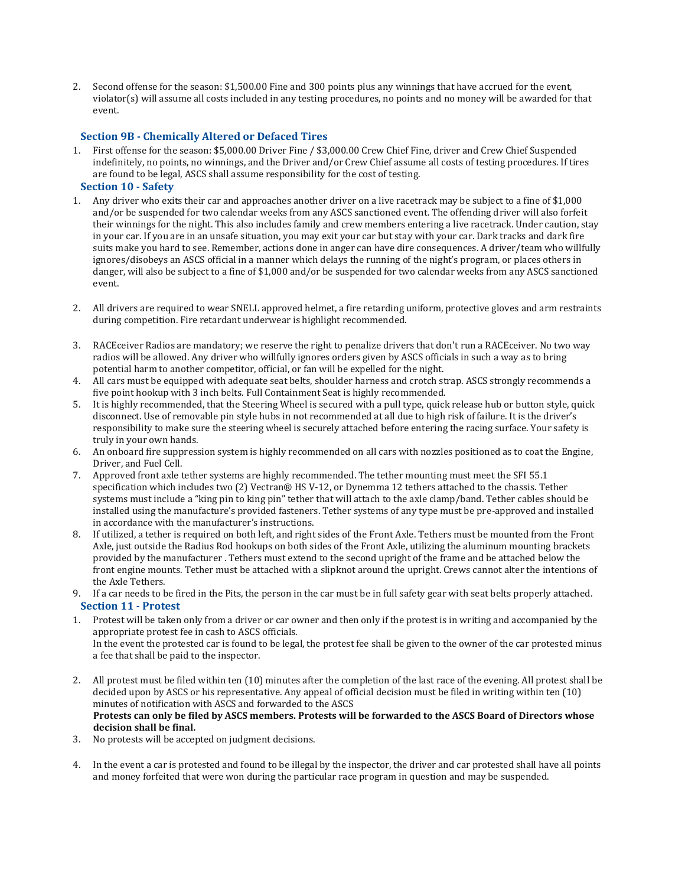2. Second offense for the season: \$1,500.00 Fine and 300 points plus any winnings that have accrued for the event, violator(s) will assume all costs included in any testing procedures, no points and no money will be awarded for that event.

### **Section 9B - Chemically Altered or Defaced Tires**

1. First offense for the season: \$5,000.00 Driver Fine / \$3,000.00 Crew Chief Fine, driver and Crew Chief Suspended indefinitely, no points, no winnings, and the Driver and/or Crew Chief assume all costs of testing procedures. If tires are found to be legal, ASCS shall assume responsibility for the cost of testing.

### **Section 10 - Safety**

- 1. Any driver who exits their car and approaches another driver on a live racetrack may be subject to a fine of \$1,000 and/or be suspended for two calendar weeks from any ASCS sanctioned event. The offending driver will also forfeit their winnings for the night. This also includes family and crew members entering a live racetrack. Under caution, stay in your car. If you are in an unsafe situation, you may exit your car but stay with your car. Dark tracks and dark fire suits make you hard to see. Remember, actions done in anger can have dire consequences. A driver/team who willfully ignores/disobeys an ASCS official in a manner which delays the running of the night's program, or places others in danger, will also be subject to a fine of \$1,000 and/or be suspended for two calendar weeks from any ASCS sanctioned event.
- 2. All drivers are required to wear SNELL approved helmet, a fire retarding uniform, protective gloves and arm restraints during competition. Fire retardant underwear is highlight recommended.
- 3. RACEceiver Radios are mandatory; we reserve the right to penalize drivers that don't run a RACEceiver. No two way radios will be allowed. Any driver who willfully ignores orders given by ASCS officials in such a way as to bring potential harm to another competitor, official, or fan will be expelled for the night.
- 4. All cars must be equipped with adequate seat belts, shoulder harness and crotch strap. ASCS strongly recommends a five point hookup with 3 inch belts. Full Containment Seat is highly recommended.
- 5. It is highly recommended, that the Steering Wheel is secured with a pull type, quick release hub or button style, quick disconnect. Use of removable pin style hubs in not recommended at all due to high risk of failure. It is the driver's responsibility to make sure the steering wheel is securely attached before entering the racing surface. Your safety is truly in your own hands.
- 6. An onboard fire suppression system is highly recommended on all cars with nozzles positioned as to coat the Engine, Driver, and Fuel Cell.
- 7. Approved front axle tether systems are highly recommended. The tether mounting must meet the SFI 55.1 specification which includes two (2) Vectran® HS V-12, or Dynemma 12 tethers attached to the chassis. Tether systems must include a "king pin to king pin" tether that will attach to the axle clamp/band. Tether cables should be installed using the manufacture's provided fasteners. Tether systems of any type must be pre-approved and installed in accordance with the manufacturer's instructions.
- 8. If utilized, a tether is required on both left, and right sides of the Front Axle. Tethers must be mounted from the Front Axle, just outside the Radius Rod hookups on both sides of the Front Axle, utilizing the aluminum mounting brackets provided by the manufacturer . Tethers must extend to the second upright of the frame and be attached below the front engine mounts. Tether must be attached with a slipknot around the upright. Crews cannot alter the intentions of the Axle Tethers.
- 9. If a car needs to be fired in the Pits, the person in the car must be in full safety gear with seat belts properly attached.

### **Section 11 - Protest**

- 1. Protest will be taken only from a driver or car owner and then only if the protest is in writing and accompanied by the appropriate protest fee in cash to ASCS officials. In the event the protested car is found to be legal, the protest fee shall be given to the owner of the car protested minus a fee that shall be paid to the inspector.
- 2. All protest must be filed within ten (10) minutes after the completion of the last race of the evening. All protest shall be decided upon by ASCS or his representative. Any appeal of official decision must be filed in writing within ten (10) minutes of notification with ASCS and forwarded to the ASCS Protests can only be filed by ASCS members. Protests will be forwarded to the ASCS Board of Directors whose **decision shall be final.**
- 3. No protests will be accepted on judgment decisions.
- 4. In the event a car is protested and found to be illegal by the inspector, the driver and car protested shall have all points and money forfeited that were won during the particular race program in question and may be suspended.